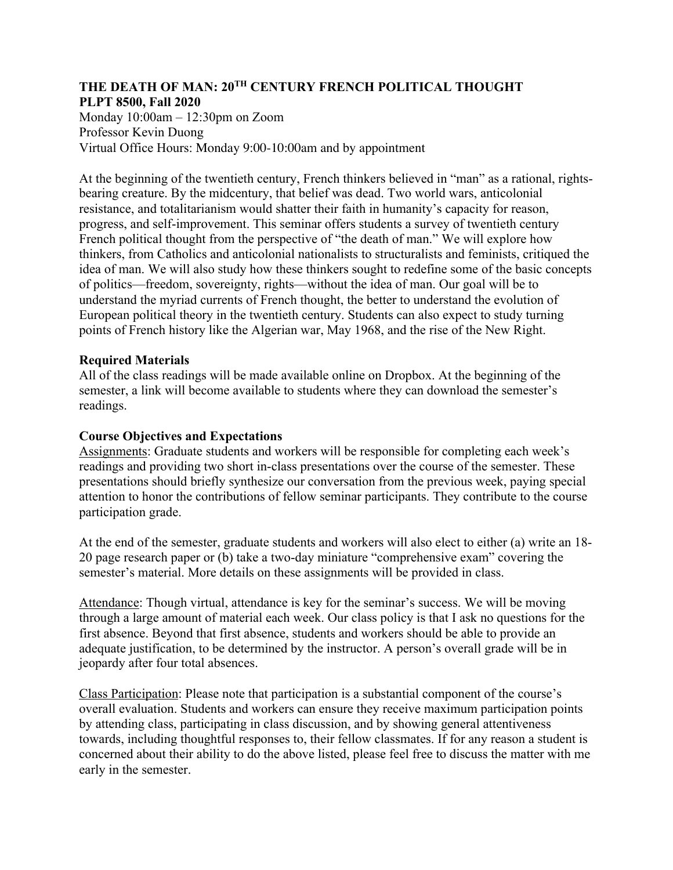### **THE DEATH OF MAN: 20TH CENTURY FRENCH POLITICAL THOUGHT PLPT 8500, Fall 2020**

Monday 10:00am – 12:30pm on Zoom Professor Kevin Duong Virtual Office Hours: Monday 9:00-10:00am and by appointment

At the beginning of the twentieth century, French thinkers believed in "man" as a rational, rightsbearing creature. By the midcentury, that belief was dead. Two world wars, anticolonial resistance, and totalitarianism would shatter their faith in humanity's capacity for reason, progress, and self-improvement. This seminar offers students a survey of twentieth century French political thought from the perspective of "the death of man." We will explore how thinkers, from Catholics and anticolonial nationalists to structuralists and feminists, critiqued the idea of man. We will also study how these thinkers sought to redefine some of the basic concepts of politics—freedom, sovereignty, rights—without the idea of man. Our goal will be to understand the myriad currents of French thought, the better to understand the evolution of European political theory in the twentieth century. Students can also expect to study turning points of French history like the Algerian war, May 1968, and the rise of the New Right.

## **Required Materials**

All of the class readings will be made available online on Dropbox. At the beginning of the semester, a link will become available to students where they can download the semester's readings.

## **Course Objectives and Expectations**

Assignments: Graduate students and workers will be responsible for completing each week's readings and providing two short in-class presentations over the course of the semester. These presentations should briefly synthesize our conversation from the previous week, paying special attention to honor the contributions of fellow seminar participants. They contribute to the course participation grade.

At the end of the semester, graduate students and workers will also elect to either (a) write an 18- 20 page research paper or (b) take a two-day miniature "comprehensive exam" covering the semester's material. More details on these assignments will be provided in class.

Attendance: Though virtual, attendance is key for the seminar's success. We will be moving through a large amount of material each week. Our class policy is that I ask no questions for the first absence. Beyond that first absence, students and workers should be able to provide an adequate justification, to be determined by the instructor. A person's overall grade will be in jeopardy after four total absences.

Class Participation: Please note that participation is a substantial component of the course's overall evaluation. Students and workers can ensure they receive maximum participation points by attending class, participating in class discussion, and by showing general attentiveness towards, including thoughtful responses to, their fellow classmates. If for any reason a student is concerned about their ability to do the above listed, please feel free to discuss the matter with me early in the semester.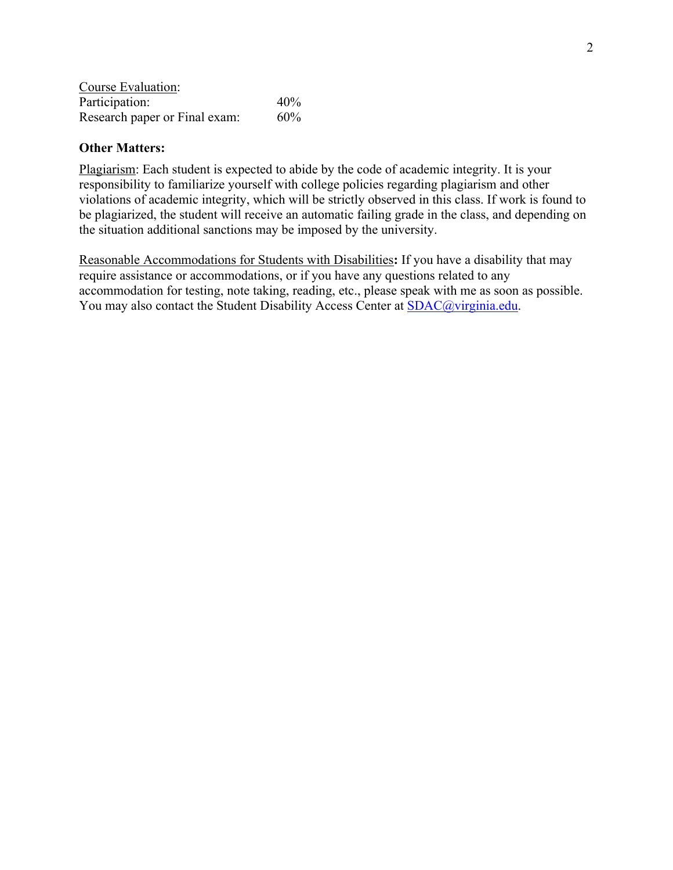| Course Evaluation:            |     |
|-------------------------------|-----|
| Participation:                | 40% |
| Research paper or Final exam: | 60% |

#### **Other Matters:**

Plagiarism: Each student is expected to abide by the code of academic integrity. It is your responsibility to familiarize yourself with college policies regarding plagiarism and other violations of academic integrity, which will be strictly observed in this class. If work is found to be plagiarized, the student will receive an automatic failing grade in the class, and depending on the situation additional sanctions may be imposed by the university.

Reasonable Accommodations for Students with Disabilities**:** If you have a disability that may require assistance or accommodations, or if you have any questions related to any accommodation for testing, note taking, reading, etc., please speak with me as soon as possible. You may also contact the Student Disability Access Center at **SDAC@virginia.edu**.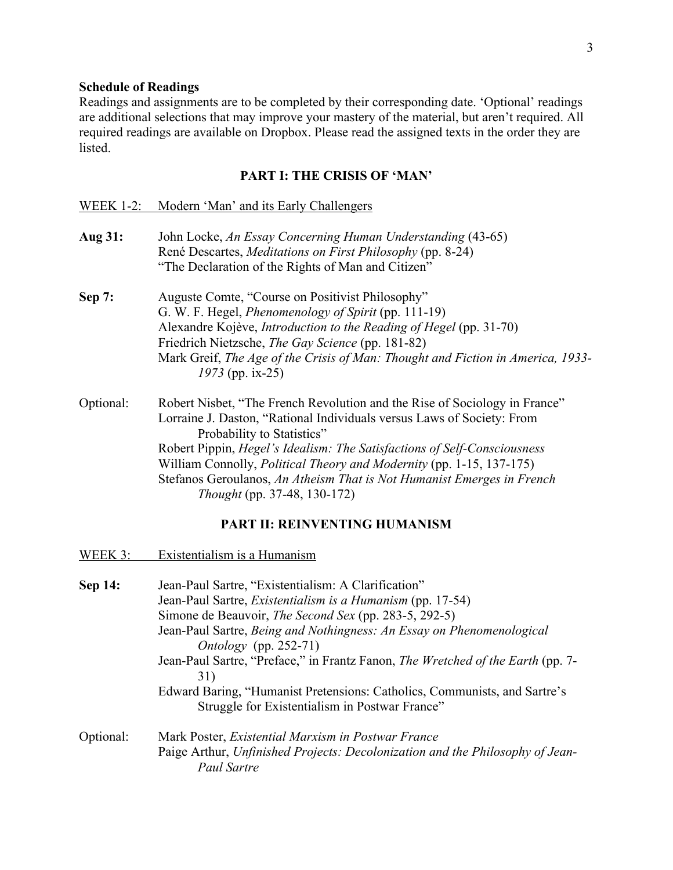#### **Schedule of Readings**

Readings and assignments are to be completed by their corresponding date. 'Optional' readings are additional selections that may improve your mastery of the material, but aren't required. All required readings are available on Dropbox. Please read the assigned texts in the order they are listed.

# **PART I: THE CRISIS OF 'MAN'**

| <b>WEEK 1-2:</b> | Modern 'Man' and its Early Challengers                                                                                                                                                                                                                                                                                                                                                                                                                  |  |  |
|------------------|---------------------------------------------------------------------------------------------------------------------------------------------------------------------------------------------------------------------------------------------------------------------------------------------------------------------------------------------------------------------------------------------------------------------------------------------------------|--|--|
| Aug 31:          | John Locke, An Essay Concerning Human Understanding (43-65)<br>René Descartes, Meditations on First Philosophy (pp. 8-24)<br>"The Declaration of the Rights of Man and Citizen"                                                                                                                                                                                                                                                                         |  |  |
| Sep 7:           | Auguste Comte, "Course on Positivist Philosophy"<br>G. W. F. Hegel, Phenomenology of Spirit (pp. 111-19)<br>Alexandre Kojève, Introduction to the Reading of Hegel (pp. 31-70)<br>Friedrich Nietzsche, The Gay Science (pp. 181-82)<br>Mark Greif, The Age of the Crisis of Man: Thought and Fiction in America, 1933-<br>1973 (pp. ix-25)                                                                                                              |  |  |
| Optional:        | Robert Nisbet, "The French Revolution and the Rise of Sociology in France"<br>Lorraine J. Daston, "Rational Individuals versus Laws of Society: From<br>Probability to Statistics"<br>Robert Pippin, Hegel's Idealism: The Satisfactions of Self-Consciousness<br>William Connolly, Political Theory and Modernity (pp. 1-15, 137-175)<br>Stefanos Geroulanos, An Atheism That is Not Humanist Emerges in French<br><i>Thought</i> (pp. 37-48, 130-172) |  |  |
|                  | PART II: REINVENTING HUMANISM                                                                                                                                                                                                                                                                                                                                                                                                                           |  |  |
| WEEK 3:          | Existentialism is a Humanism                                                                                                                                                                                                                                                                                                                                                                                                                            |  |  |
| Sep 14:          | Jean-Paul Sartre, "Existentialism: A Clarification"<br>Jean-Paul Sartre, <i>Existentialism is a Humanism</i> (pp. 17-54)<br>Simone de Beauvoir, <i>The Second Sex</i> (pp. 283-5, 292-5)<br>Jean-Paul Sartre, Being and Nothingness: An Essay on Phenomenological<br>Ontology (pp. 252-71)<br>Jean-Paul Sartre, "Preface," in Frantz Fanon, The Wretched of the Earth (pp. 7-<br>31)                                                                    |  |  |

Edward Baring, "Humanist Pretensions: Catholics, Communists, and Sartre's Struggle for Existentialism in Postwar France"

Optional: Mark Poster, *Existential Marxism in Postwar France* Paige Arthur, *Unfinished Projects: Decolonization and the Philosophy of Jean-Paul Sartre*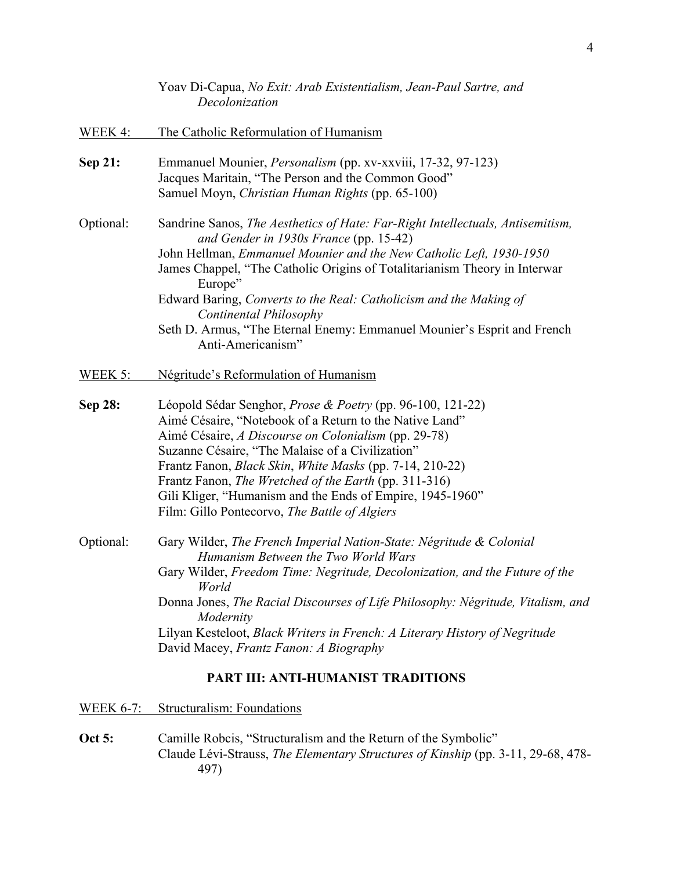|                | Yoav Di-Capua, No Exit: Arab Existentialism, Jean-Paul Sartre, and<br>Decolonization                                                                                                                                                                                                                                                                                                                                                                                                     |  |
|----------------|------------------------------------------------------------------------------------------------------------------------------------------------------------------------------------------------------------------------------------------------------------------------------------------------------------------------------------------------------------------------------------------------------------------------------------------------------------------------------------------|--|
| <b>WEEK 4:</b> | The Catholic Reformulation of Humanism                                                                                                                                                                                                                                                                                                                                                                                                                                                   |  |
| Sep 21:        | Emmanuel Mounier, <i>Personalism</i> (pp. xv-xxviii, 17-32, 97-123)<br>Jacques Maritain, "The Person and the Common Good"<br>Samuel Moyn, Christian Human Rights (pp. 65-100)                                                                                                                                                                                                                                                                                                            |  |
| Optional:      | Sandrine Sanos, The Aesthetics of Hate: Far-Right Intellectuals, Antisemitism,<br>and Gender in 1930s France (pp. 15-42)<br>John Hellman, Emmanuel Mounier and the New Catholic Left, 1930-1950<br>James Chappel, "The Catholic Origins of Totalitarianism Theory in Interwar<br>Europe"<br>Edward Baring, Converts to the Real: Catholicism and the Making of<br>Continental Philosophy<br>Seth D. Armus, "The Eternal Enemy: Emmanuel Mounier's Esprit and French<br>Anti-Americanism" |  |
| <b>WEEK 5:</b> | Négritude's Reformulation of Humanism                                                                                                                                                                                                                                                                                                                                                                                                                                                    |  |
| Sep 28:        | Léopold Sédar Senghor, Prose & Poetry (pp. 96-100, 121-22)<br>Aimé Césaire, "Notebook of a Return to the Native Land"<br>Aimé Césaire, A Discourse on Colonialism (pp. 29-78)<br>Suzanne Césaire, "The Malaise of a Civilization"<br>Frantz Fanon, <i>Black Skin</i> , <i>White Masks</i> (pp. 7-14, 210-22)<br>Frantz Fanon, The Wretched of the Earth (pp. 311-316)<br>Gili Kliger, "Humanism and the Ends of Empire, 1945-1960"<br>Film: Gillo Pontecorvo, The Battle of Algiers      |  |
| Optional:      | Gary Wilder, The French Imperial Nation-State: Négritude & Colonial<br>Humanism Between the Two World Wars<br>Gary Wilder, Freedom Time: Negritude, Decolonization, and the Future of the<br>World<br>Donna Jones, The Racial Discourses of Life Philosophy: Négritude, Vitalism, and<br>Modernity<br>Lilyan Kesteloot, Black Writers in French: A Literary History of Negritude<br>David Macey, Frantz Fanon: A Biography                                                               |  |
|                | PART III: ANTI-HUMANIST TRADITIONS                                                                                                                                                                                                                                                                                                                                                                                                                                                       |  |

WEEK 6-7: Structuralism: Foundations

**Oct 5:** Camille Robcis, "Structuralism and the Return of the Symbolic" Claude Lévi-Strauss, *The Elementary Structures of Kinship* (pp. 3-11, 29-68, 478- 497)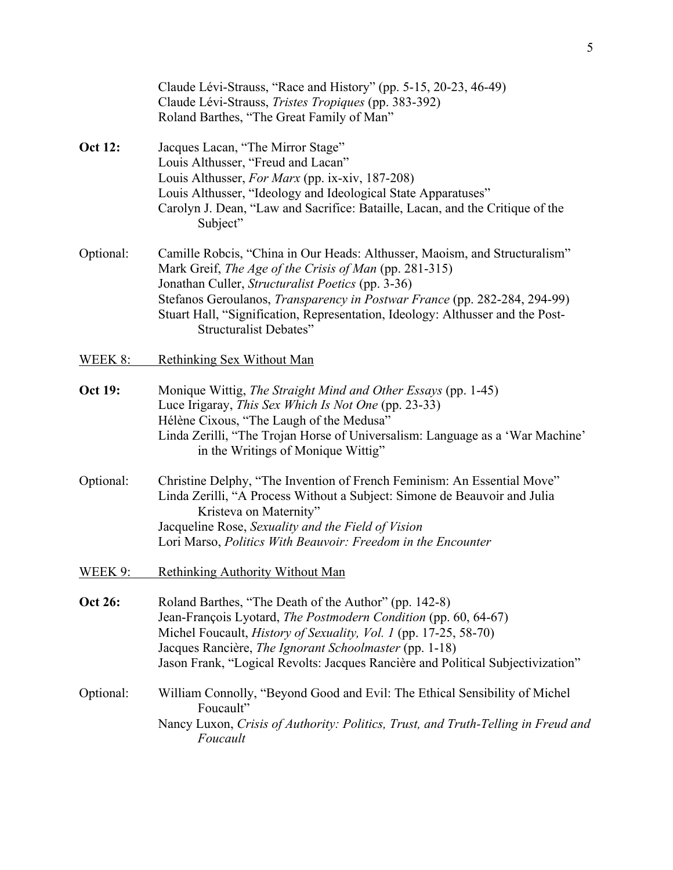|                | Claude Lévi-Strauss, "Race and History" (pp. 5-15, 20-23, 46-49)<br>Claude Lévi-Strauss, Tristes Tropiques (pp. 383-392)<br>Roland Barthes, "The Great Family of Man"                                                                                                                                                                                                              |  |
|----------------|------------------------------------------------------------------------------------------------------------------------------------------------------------------------------------------------------------------------------------------------------------------------------------------------------------------------------------------------------------------------------------|--|
| <b>Oct 12:</b> | Jacques Lacan, "The Mirror Stage"<br>Louis Althusser, "Freud and Lacan"<br>Louis Althusser, For Marx (pp. ix-xiv, 187-208)<br>Louis Althusser, "Ideology and Ideological State Apparatuses"<br>Carolyn J. Dean, "Law and Sacrifice: Bataille, Lacan, and the Critique of the<br>Subject"                                                                                           |  |
| Optional:      | Camille Robcis, "China in Our Heads: Althusser, Maoism, and Structuralism"<br>Mark Greif, The Age of the Crisis of Man (pp. 281-315)<br>Jonathan Culler, Structuralist Poetics (pp. 3-36)<br>Stefanos Geroulanos, Transparency in Postwar France (pp. 282-284, 294-99)<br>Stuart Hall, "Signification, Representation, Ideology: Althusser and the Post-<br>Structuralist Debates" |  |
| WEEK 8:        | Rethinking Sex Without Man                                                                                                                                                                                                                                                                                                                                                         |  |
| <b>Oct 19:</b> | Monique Wittig, The Straight Mind and Other Essays (pp. 1-45)<br>Luce Irigaray, This Sex Which Is Not One (pp. 23-33)<br>Hélène Cixous, "The Laugh of the Medusa"<br>Linda Zerilli, "The Trojan Horse of Universalism: Language as a 'War Machine'<br>in the Writings of Monique Wittig"                                                                                           |  |
| Optional:      | Christine Delphy, "The Invention of French Feminism: An Essential Move"<br>Linda Zerilli, "A Process Without a Subject: Simone de Beauvoir and Julia<br>Kristeva on Maternity"<br>Jacqueline Rose, Sexuality and the Field of Vision<br>Lori Marso, Politics With Beauvoir: Freedom in the Encounter                                                                               |  |
| WEEK 9:        | <b>Rethinking Authority Without Man</b>                                                                                                                                                                                                                                                                                                                                            |  |
| <b>Oct 26:</b> | Roland Barthes, "The Death of the Author" (pp. 142-8)<br>Jean-François Lyotard, The Postmodern Condition (pp. 60, 64-67)<br>Michel Foucault, <i>History of Sexuality</i> , <i>Vol. 1</i> (pp. 17-25, 58-70)<br>Jacques Rancière, The Ignorant Schoolmaster (pp. 1-18)<br>Jason Frank, "Logical Revolts: Jacques Rancière and Political Subjectivization"                           |  |
| Optional:      | William Connolly, "Beyond Good and Evil: The Ethical Sensibility of Michel<br>Foucault"<br>Nancy Luxon, Crisis of Authority: Politics, Trust, and Truth-Telling in Freud and<br>Foucault                                                                                                                                                                                           |  |